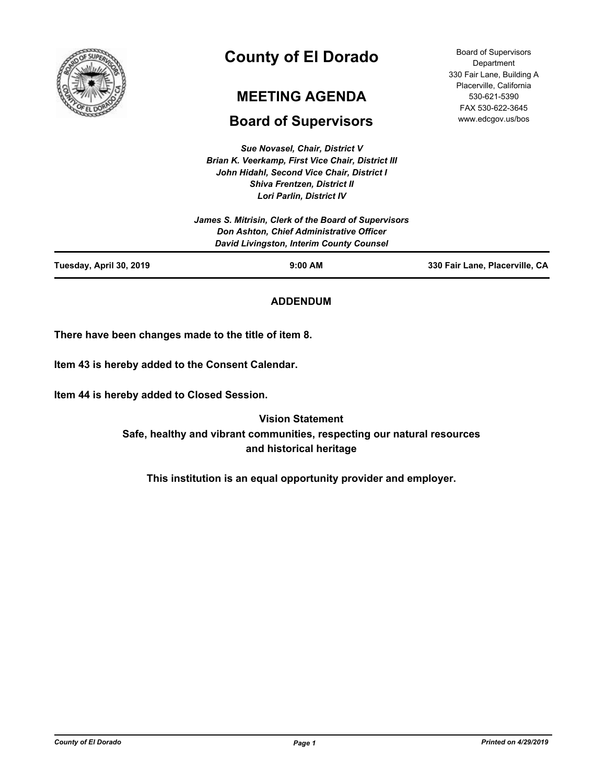

# **County of El Dorado**

# **MEETING AGENDA**

# **Board of Supervisors**

*Sue Novasel, Chair, District V Brian K. Veerkamp, First Vice Chair, District III John Hidahl, Second Vice Chair, District I Shiva Frentzen, District II Lori Parlin, District IV*

|                         | LVII FAHIII, DISUILLIV                               |                                |
|-------------------------|------------------------------------------------------|--------------------------------|
|                         | James S. Mitrisin, Clerk of the Board of Supervisors |                                |
|                         | <b>Don Ashton, Chief Administrative Officer</b>      |                                |
|                         | David Livingston, Interim County Counsel             |                                |
| Tuesday, April 30, 2019 | $9:00$ AM                                            | 330 Fair Lane, Placerville, CA |

# **ADDENDUM**

**There have been changes made to the title of item 8.**

**Item 43 is hereby added to the Consent Calendar.**

**Item 44 is hereby added to Closed Session.**

**Vision Statement Safe, healthy and vibrant communities, respecting our natural resources and historical heritage**

**This institution is an equal opportunity provider and employer.**

*County of El Dorado Page 1 Printed on 4/29/2019*

Board of Supervisors **Department** 330 Fair Lane, Building A Placerville, California 530-621-5390 FAX 530-622-3645 www.edcgov.us/bos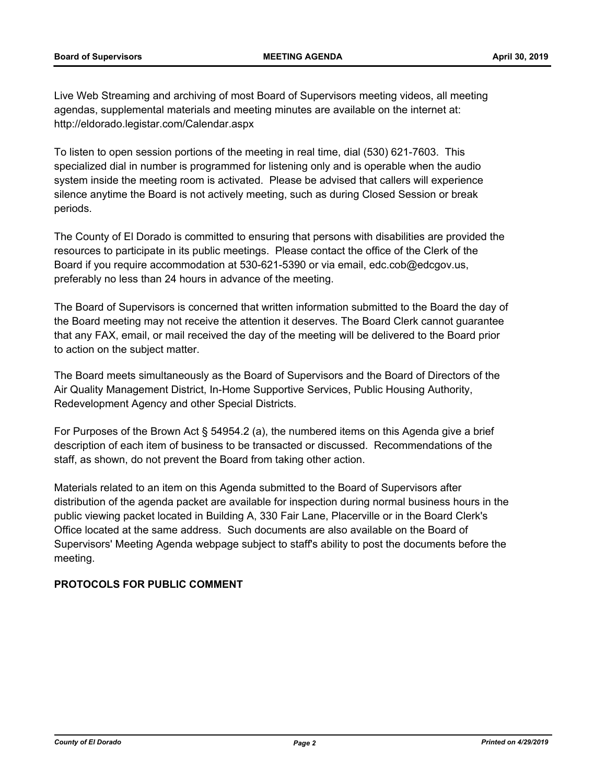Live Web Streaming and archiving of most Board of Supervisors meeting videos, all meeting agendas, supplemental materials and meeting minutes are available on the internet at: http://eldorado.legistar.com/Calendar.aspx

To listen to open session portions of the meeting in real time, dial (530) 621-7603. This specialized dial in number is programmed for listening only and is operable when the audio system inside the meeting room is activated. Please be advised that callers will experience silence anytime the Board is not actively meeting, such as during Closed Session or break periods.

The County of El Dorado is committed to ensuring that persons with disabilities are provided the resources to participate in its public meetings. Please contact the office of the Clerk of the Board if you require accommodation at 530-621-5390 or via email, edc.cob@edcgov.us, preferably no less than 24 hours in advance of the meeting.

The Board of Supervisors is concerned that written information submitted to the Board the day of the Board meeting may not receive the attention it deserves. The Board Clerk cannot guarantee that any FAX, email, or mail received the day of the meeting will be delivered to the Board prior to action on the subject matter.

The Board meets simultaneously as the Board of Supervisors and the Board of Directors of the Air Quality Management District, In-Home Supportive Services, Public Housing Authority, Redevelopment Agency and other Special Districts.

For Purposes of the Brown Act § 54954.2 (a), the numbered items on this Agenda give a brief description of each item of business to be transacted or discussed. Recommendations of the staff, as shown, do not prevent the Board from taking other action.

Materials related to an item on this Agenda submitted to the Board of Supervisors after distribution of the agenda packet are available for inspection during normal business hours in the public viewing packet located in Building A, 330 Fair Lane, Placerville or in the Board Clerk's Office located at the same address. Such documents are also available on the Board of Supervisors' Meeting Agenda webpage subject to staff's ability to post the documents before the meeting.

# **PROTOCOLS FOR PUBLIC COMMENT**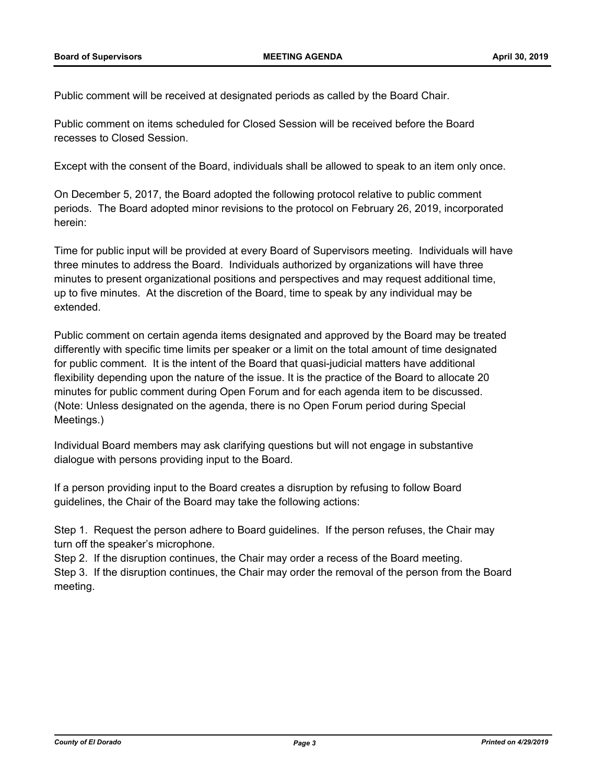Public comment will be received at designated periods as called by the Board Chair.

Public comment on items scheduled for Closed Session will be received before the Board recesses to Closed Session.

Except with the consent of the Board, individuals shall be allowed to speak to an item only once.

On December 5, 2017, the Board adopted the following protocol relative to public comment periods. The Board adopted minor revisions to the protocol on February 26, 2019, incorporated herein:

Time for public input will be provided at every Board of Supervisors meeting. Individuals will have three minutes to address the Board. Individuals authorized by organizations will have three minutes to present organizational positions and perspectives and may request additional time, up to five minutes. At the discretion of the Board, time to speak by any individual may be extended.

Public comment on certain agenda items designated and approved by the Board may be treated differently with specific time limits per speaker or a limit on the total amount of time designated for public comment. It is the intent of the Board that quasi-judicial matters have additional flexibility depending upon the nature of the issue. It is the practice of the Board to allocate 20 minutes for public comment during Open Forum and for each agenda item to be discussed. (Note: Unless designated on the agenda, there is no Open Forum period during Special Meetings.)

Individual Board members may ask clarifying questions but will not engage in substantive dialogue with persons providing input to the Board.

If a person providing input to the Board creates a disruption by refusing to follow Board guidelines, the Chair of the Board may take the following actions:

Step 1. Request the person adhere to Board guidelines. If the person refuses, the Chair may turn off the speaker's microphone.

Step 2. If the disruption continues, the Chair may order a recess of the Board meeting. Step 3. If the disruption continues, the Chair may order the removal of the person from the Board meeting.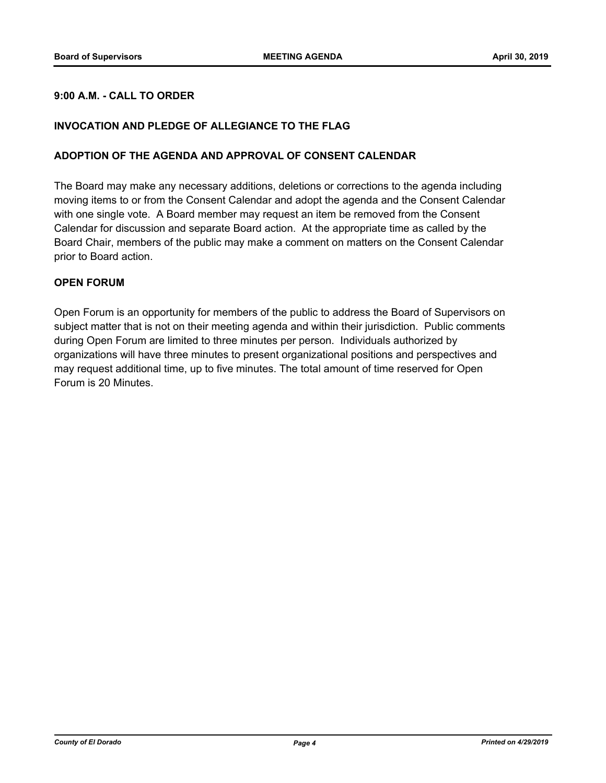## **9:00 A.M. - CALL TO ORDER**

#### **INVOCATION AND PLEDGE OF ALLEGIANCE TO THE FLAG**

#### **ADOPTION OF THE AGENDA AND APPROVAL OF CONSENT CALENDAR**

The Board may make any necessary additions, deletions or corrections to the agenda including moving items to or from the Consent Calendar and adopt the agenda and the Consent Calendar with one single vote. A Board member may request an item be removed from the Consent Calendar for discussion and separate Board action. At the appropriate time as called by the Board Chair, members of the public may make a comment on matters on the Consent Calendar prior to Board action.

#### **OPEN FORUM**

Open Forum is an opportunity for members of the public to address the Board of Supervisors on subject matter that is not on their meeting agenda and within their jurisdiction. Public comments during Open Forum are limited to three minutes per person. Individuals authorized by organizations will have three minutes to present organizational positions and perspectives and may request additional time, up to five minutes. The total amount of time reserved for Open Forum is 20 Minutes.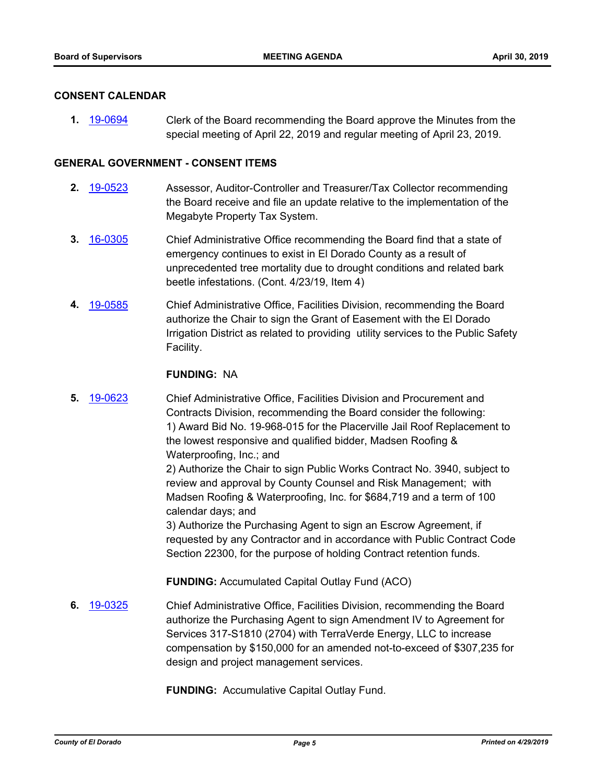#### **CONSENT CALENDAR**

**1.** [19-0694](http://eldorado.legistar.com/gateway.aspx?m=l&id=/matter.aspx?key=26016) Clerk of the Board recommending the Board approve the Minutes from the special meeting of April 22, 2019 and regular meeting of April 23, 2019.

#### **GENERAL GOVERNMENT - CONSENT ITEMS**

- **2.** [19-0523](http://eldorado.legistar.com/gateway.aspx?m=l&id=/matter.aspx?key=25844) Assessor, Auditor-Controller and Treasurer/Tax Collector recommending the Board receive and file an update relative to the implementation of the Megabyte Property Tax System.
- **3.** [16-0305](http://eldorado.legistar.com/gateway.aspx?m=l&id=/matter.aspx?key=20961) Chief Administrative Office recommending the Board find that a state of emergency continues to exist in El Dorado County as a result of unprecedented tree mortality due to drought conditions and related bark beetle infestations. (Cont. 4/23/19, Item 4)
- **4.** [19-0585](http://eldorado.legistar.com/gateway.aspx?m=l&id=/matter.aspx?key=25906) Chief Administrative Office, Facilities Division, recommending the Board authorize the Chair to sign the Grant of Easement with the El Dorado Irrigation District as related to providing utility services to the Public Safety Facility.

#### **FUNDING:** NA

**5.** [19-0623](http://eldorado.legistar.com/gateway.aspx?m=l&id=/matter.aspx?key=25944) Chief Administrative Office, Facilities Division and Procurement and Contracts Division, recommending the Board consider the following: 1) Award Bid No. 19-968-015 for the Placerville Jail Roof Replacement to the lowest responsive and qualified bidder, Madsen Roofing & Waterproofing, Inc.; and

> 2) Authorize the Chair to sign Public Works Contract No. 3940, subject to review and approval by County Counsel and Risk Management; with Madsen Roofing & Waterproofing, Inc. for \$684,719 and a term of 100 calendar days; and

3) Authorize the Purchasing Agent to sign an Escrow Agreement, if requested by any Contractor and in accordance with Public Contract Code Section 22300, for the purpose of holding Contract retention funds.

**FUNDING:** Accumulated Capital Outlay Fund (ACO)

**6.** [19-0325](http://eldorado.legistar.com/gateway.aspx?m=l&id=/matter.aspx?key=25646) Chief Administrative Office, Facilities Division, recommending the Board authorize the Purchasing Agent to sign Amendment IV to Agreement for Services 317-S1810 (2704) with TerraVerde Energy, LLC to increase compensation by \$150,000 for an amended not-to-exceed of \$307,235 for design and project management services.

**FUNDING:** Accumulative Capital Outlay Fund.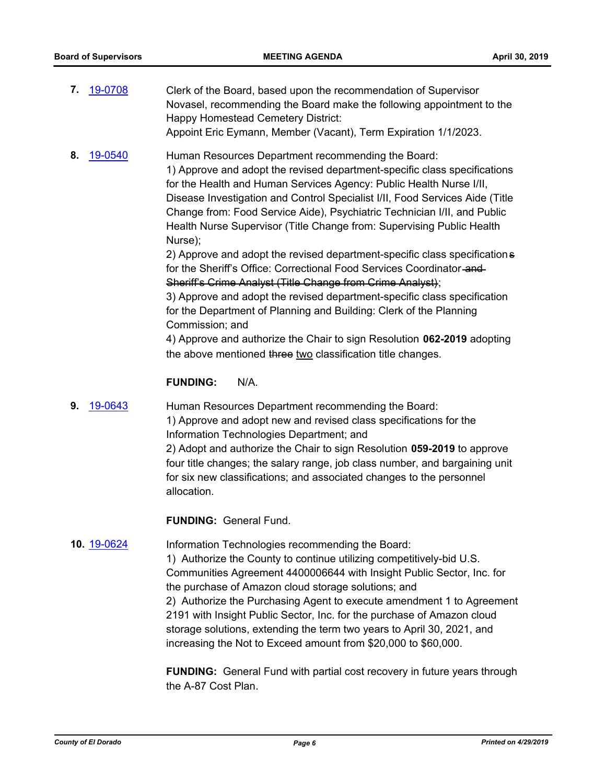- **7.** [19-0708](http://eldorado.legistar.com/gateway.aspx?m=l&id=/matter.aspx?key=26030) Clerk of the Board, based upon the recommendation of Supervisor Novasel, recommending the Board make the following appointment to the Happy Homestead Cemetery District: Appoint Eric Eymann, Member (Vacant), Term Expiration 1/1/2023.
- **8.** [19-0540](http://eldorado.legistar.com/gateway.aspx?m=l&id=/matter.aspx?key=25861) Human Resources Department recommending the Board: 1) Approve and adopt the revised department-specific class specifications for the Health and Human Services Agency: Public Health Nurse I/II, Disease Investigation and Control Specialist I/II, Food Services Aide (Title Change from: Food Service Aide), Psychiatric Technician I/II, and Public Health Nurse Supervisor (Title Change from: Supervising Public Health Nurse);

2) Approve and adopt the revised department-specific class specifications for the Sheriff's Office: Correctional Food Services Coordinator and Sheriff's Crime Analyst (Title Change from Crime Analyst);

3) Approve and adopt the revised department-specific class specification for the Department of Planning and Building: Clerk of the Planning Commission; and

4) Approve and authorize the Chair to sign Resolution **062-2019** adopting the above mentioned three two classification title changes.

#### **FUNDING:** N/A.

**9.** [19-0643](http://eldorado.legistar.com/gateway.aspx?m=l&id=/matter.aspx?key=25965) Human Resources Department recommending the Board: 1) Approve and adopt new and revised class specifications for the Information Technologies Department; and 2) Adopt and authorize the Chair to sign Resolution **059-2019** to approve four title changes; the salary range, job class number, and bargaining unit for six new classifications; and associated changes to the personnel allocation.

**FUNDING:** General Fund.

# **10.** [19-0624](http://eldorado.legistar.com/gateway.aspx?m=l&id=/matter.aspx?key=25946) Information Technologies recommending the Board:

1) Authorize the County to continue utilizing competitively-bid U.S. Communities Agreement 4400006644 with Insight Public Sector, Inc. for the purchase of Amazon cloud storage solutions; and 2) Authorize the Purchasing Agent to execute amendment 1 to Agreement 2191 with Insight Public Sector, Inc. for the purchase of Amazon cloud storage solutions, extending the term two years to April 30, 2021, and increasing the Not to Exceed amount from \$20,000 to \$60,000.

**FUNDING:** General Fund with partial cost recovery in future years through the A-87 Cost Plan.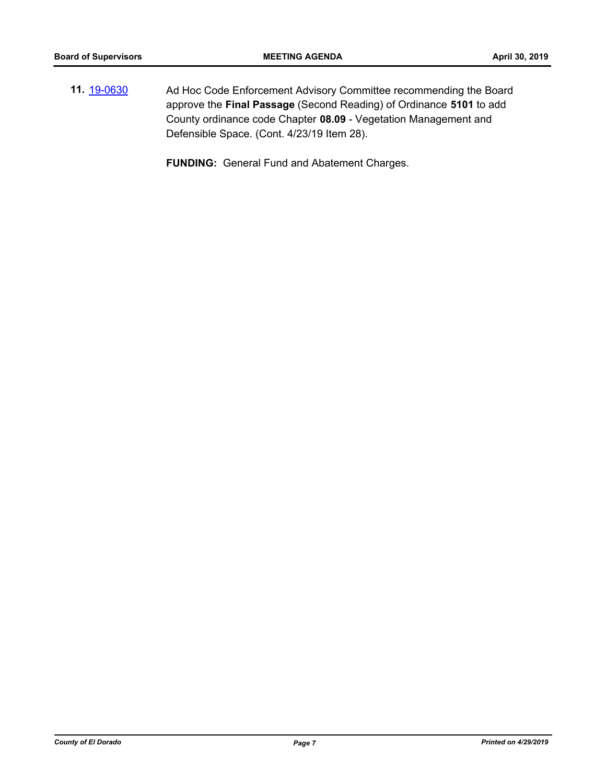**11.** [19-0630](http://eldorado.legistar.com/gateway.aspx?m=l&id=/matter.aspx?key=25952) Ad Hoc Code Enforcement Advisory Committee recommending the Board approve the **Final Passage** (Second Reading) of Ordinance **5101** to add County ordinance code Chapter **08.09** - Vegetation Management and Defensible Space. (Cont. 4/23/19 Item 28).

**FUNDING:** General Fund and Abatement Charges.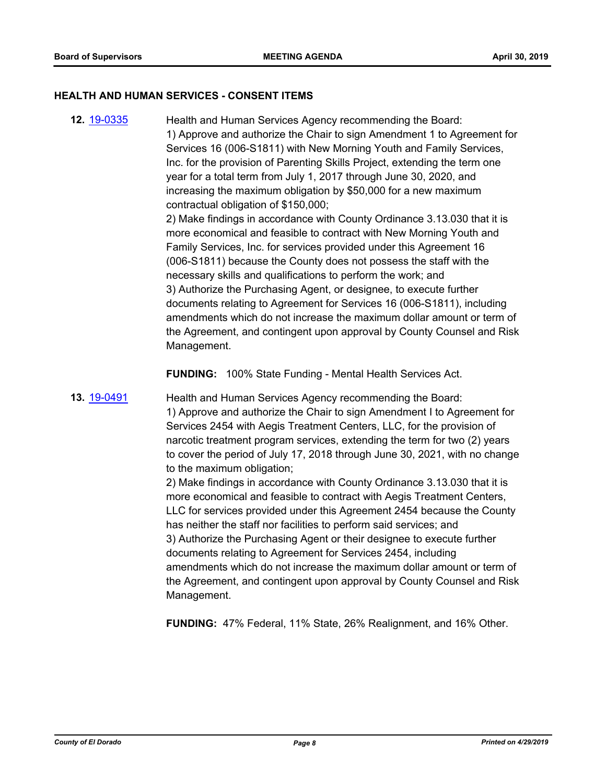#### **HEALTH AND HUMAN SERVICES - CONSENT ITEMS**

**12.** [19-0335](http://eldorado.legistar.com/gateway.aspx?m=l&id=/matter.aspx?key=25656) Health and Human Services Agency recommending the Board: 1) Approve and authorize the Chair to sign Amendment 1 to Agreement for Services 16 (006-S1811) with New Morning Youth and Family Services, Inc. for the provision of Parenting Skills Project, extending the term one year for a total term from July 1, 2017 through June 30, 2020, and increasing the maximum obligation by \$50,000 for a new maximum contractual obligation of \$150,000; 2) Make findings in accordance with County Ordinance 3.13.030 that it is more economical and feasible to contract with New Morning Youth and Family Services, Inc. for services provided under this Agreement 16 (006-S1811) because the County does not possess the staff with the necessary skills and qualifications to perform the work; and 3) Authorize the Purchasing Agent, or designee, to execute further documents relating to Agreement for Services 16 (006-S1811), including amendments which do not increase the maximum dollar amount or term of the Agreement, and contingent upon approval by County Counsel and Risk Management.

**FUNDING:** 100% State Funding - Mental Health Services Act.

**13.** [19-0491](http://eldorado.legistar.com/gateway.aspx?m=l&id=/matter.aspx?key=25812) Health and Human Services Agency recommending the Board: 1) Approve and authorize the Chair to sign Amendment I to Agreement for Services 2454 with Aegis Treatment Centers, LLC, for the provision of narcotic treatment program services, extending the term for two (2) years to cover the period of July 17, 2018 through June 30, 2021, with no change to the maximum obligation;

> 2) Make findings in accordance with County Ordinance 3.13.030 that it is more economical and feasible to contract with Aegis Treatment Centers, LLC for services provided under this Agreement 2454 because the County has neither the staff nor facilities to perform said services; and 3) Authorize the Purchasing Agent or their designee to execute further documents relating to Agreement for Services 2454, including amendments which do not increase the maximum dollar amount or term of the Agreement, and contingent upon approval by County Counsel and Risk Management.

**FUNDING:** 47% Federal, 11% State, 26% Realignment, and 16% Other.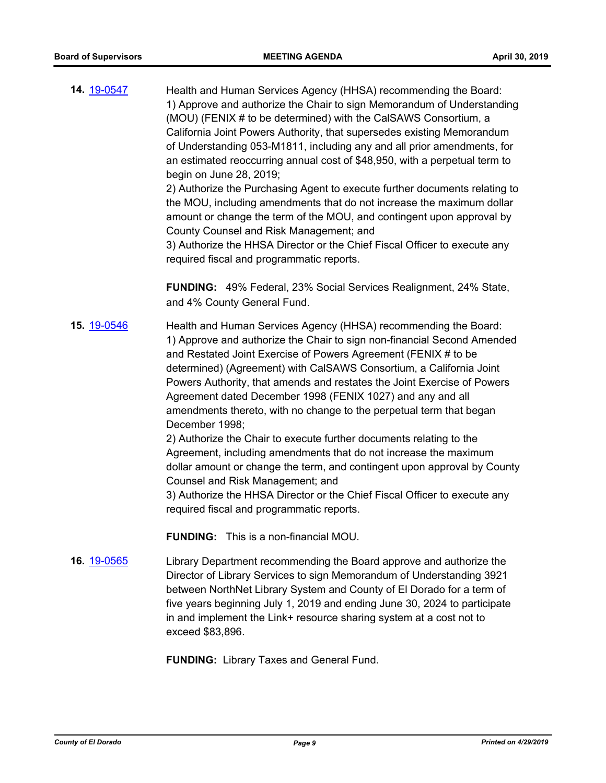**14.** [19-0547](http://eldorado.legistar.com/gateway.aspx?m=l&id=/matter.aspx?key=25868) Health and Human Services Agency (HHSA) recommending the Board: 1) Approve and authorize the Chair to sign Memorandum of Understanding (MOU) (FENIX # to be determined) with the CalSAWS Consortium, a California Joint Powers Authority, that supersedes existing Memorandum of Understanding 053-M1811, including any and all prior amendments, for an estimated reoccurring annual cost of \$48,950, with a perpetual term to begin on June 28, 2019; 2) Authorize the Purchasing Agent to execute further documents relating to

the MOU, including amendments that do not increase the maximum dollar amount or change the term of the MOU, and contingent upon approval by County Counsel and Risk Management; and

3) Authorize the HHSA Director or the Chief Fiscal Officer to execute any required fiscal and programmatic reports.

**FUNDING:** 49% Federal, 23% Social Services Realignment, 24% State, and 4% County General Fund.

**15.** [19-0546](http://eldorado.legistar.com/gateway.aspx?m=l&id=/matter.aspx?key=25867) Health and Human Services Agency (HHSA) recommending the Board: 1) Approve and authorize the Chair to sign non-financial Second Amended and Restated Joint Exercise of Powers Agreement (FENIX # to be determined) (Agreement) with CalSAWS Consortium, a California Joint Powers Authority, that amends and restates the Joint Exercise of Powers Agreement dated December 1998 (FENIX 1027) and any and all amendments thereto, with no change to the perpetual term that began December 1998;

> 2) Authorize the Chair to execute further documents relating to the Agreement, including amendments that do not increase the maximum dollar amount or change the term, and contingent upon approval by County Counsel and Risk Management; and

3) Authorize the HHSA Director or the Chief Fiscal Officer to execute any required fiscal and programmatic reports.

**FUNDING:** This is a non-financial MOU.

**16.** [19-0565](http://eldorado.legistar.com/gateway.aspx?m=l&id=/matter.aspx?key=25886) Library Department recommending the Board approve and authorize the Director of Library Services to sign Memorandum of Understanding 3921 between NorthNet Library System and County of El Dorado for a term of five years beginning July 1, 2019 and ending June 30, 2024 to participate in and implement the Link+ resource sharing system at a cost not to exceed \$83,896.

**FUNDING:** Library Taxes and General Fund.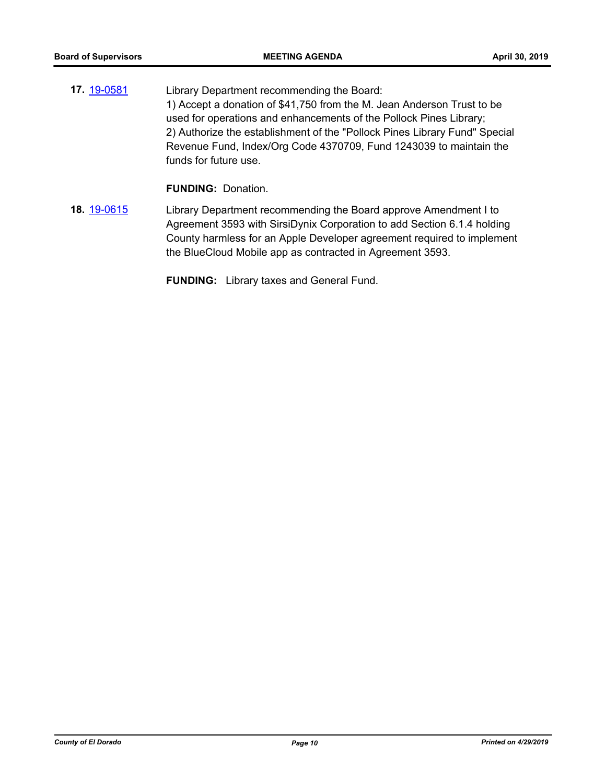**17.** [19-0581](http://eldorado.legistar.com/gateway.aspx?m=l&id=/matter.aspx?key=25902) Library Department recommending the Board: 1) Accept a donation of \$41,750 from the M. Jean Anderson Trust to be used for operations and enhancements of the Pollock Pines Library; 2) Authorize the establishment of the "Pollock Pines Library Fund" Special Revenue Fund, Index/Org Code 4370709, Fund 1243039 to maintain the funds for future use.

**FUNDING:** Donation.

**18.** [19-0615](http://eldorado.legistar.com/gateway.aspx?m=l&id=/matter.aspx?key=25936) Library Department recommending the Board approve Amendment I to Agreement 3593 with SirsiDynix Corporation to add Section 6.1.4 holding County harmless for an Apple Developer agreement required to implement the BlueCloud Mobile app as contracted in Agreement 3593.

**FUNDING:** Library taxes and General Fund.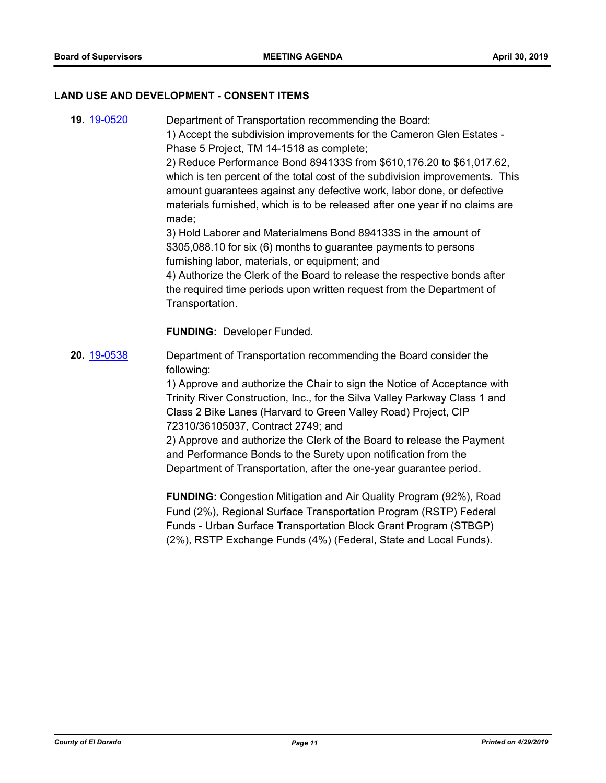#### **LAND USE AND DEVELOPMENT - CONSENT ITEMS**

**19.** [19-0520](http://eldorado.legistar.com/gateway.aspx?m=l&id=/matter.aspx?key=25841) Department of Transportation recommending the Board: 1) Accept the subdivision improvements for the Cameron Glen Estates - Phase 5 Project, TM 14-1518 as complete;

2) Reduce Performance Bond 894133S from \$610,176.20 to \$61,017.62, which is ten percent of the total cost of the subdivision improvements. This amount guarantees against any defective work, labor done, or defective materials furnished, which is to be released after one year if no claims are made;

3) Hold Laborer and Materialmens Bond 894133S in the amount of \$305,088.10 for six (6) months to guarantee payments to persons furnishing labor, materials, or equipment; and

4) Authorize the Clerk of the Board to release the respective bonds after the required time periods upon written request from the Department of Transportation.

**FUNDING:** Developer Funded.

**20.** [19-0538](http://eldorado.legistar.com/gateway.aspx?m=l&id=/matter.aspx?key=25859) Department of Transportation recommending the Board consider the following:

> 1) Approve and authorize the Chair to sign the Notice of Acceptance with Trinity River Construction, Inc., for the Silva Valley Parkway Class 1 and Class 2 Bike Lanes (Harvard to Green Valley Road) Project, CIP 72310/36105037, Contract 2749; and

2) Approve and authorize the Clerk of the Board to release the Payment and Performance Bonds to the Surety upon notification from the Department of Transportation, after the one-year guarantee period.

**FUNDING:** Congestion Mitigation and Air Quality Program (92%), Road Fund (2%), Regional Surface Transportation Program (RSTP) Federal Funds - Urban Surface Transportation Block Grant Program (STBGP) (2%), RSTP Exchange Funds (4%) (Federal, State and Local Funds).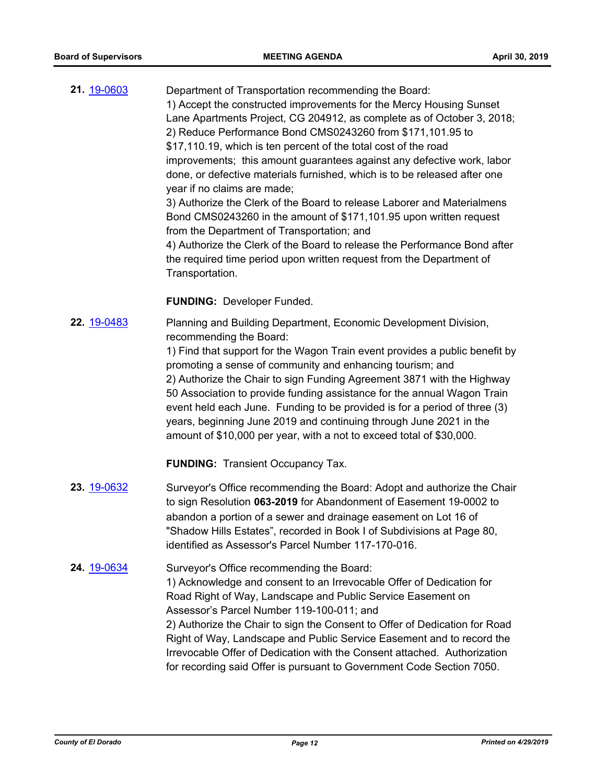**21.** [19-0603](http://eldorado.legistar.com/gateway.aspx?m=l&id=/matter.aspx?key=25924) Department of Transportation recommending the Board: 1) Accept the constructed improvements for the Mercy Housing Sunset Lane Apartments Project, CG 204912, as complete as of October 3, 2018; 2) Reduce Performance Bond CMS0243260 from \$171,101.95 to \$17,110.19, which is ten percent of the total cost of the road improvements; this amount guarantees against any defective work, labor done, or defective materials furnished, which is to be released after one year if no claims are made; 3) Authorize the Clerk of the Board to release Laborer and Materialmens Bond CMS0243260 in the amount of \$171,101.95 upon written request from the Department of Transportation; and 4) Authorize the Clerk of the Board to release the Performance Bond after the required time period upon written request from the Department of Transportation.

#### **FUNDING:** Developer Funded.

**22.** [19-0483](http://eldorado.legistar.com/gateway.aspx?m=l&id=/matter.aspx?key=25804) Planning and Building Department, Economic Development Division, recommending the Board:

> 1) Find that support for the Wagon Train event provides a public benefit by promoting a sense of community and enhancing tourism; and 2) Authorize the Chair to sign Funding Agreement 3871 with the Highway 50 Association to provide funding assistance for the annual Wagon Train event held each June. Funding to be provided is for a period of three (3) years, beginning June 2019 and continuing through June 2021 in the amount of \$10,000 per year, with a not to exceed total of \$30,000.

**FUNDING:** Transient Occupancy Tax.

- **23.** [19-0632](http://eldorado.legistar.com/gateway.aspx?m=l&id=/matter.aspx?key=25954) Surveyor's Office recommending the Board: Adopt and authorize the Chair to sign Resolution **063-2019** for Abandonment of Easement 19-0002 to abandon a portion of a sewer and drainage easement on Lot 16 of "Shadow Hills Estates", recorded in Book I of Subdivisions at Page 80, identified as Assessor's Parcel Number 117-170-016.
- **24.** [19-0634](http://eldorado.legistar.com/gateway.aspx?m=l&id=/matter.aspx?key=25956) Surveyor's Office recommending the Board: 1) Acknowledge and consent to an Irrevocable Offer of Dedication for Road Right of Way, Landscape and Public Service Easement on Assessor's Parcel Number 119-100-011; and 2) Authorize the Chair to sign the Consent to Offer of Dedication for Road Right of Way, Landscape and Public Service Easement and to record the Irrevocable Offer of Dedication with the Consent attached. Authorization for recording said Offer is pursuant to Government Code Section 7050.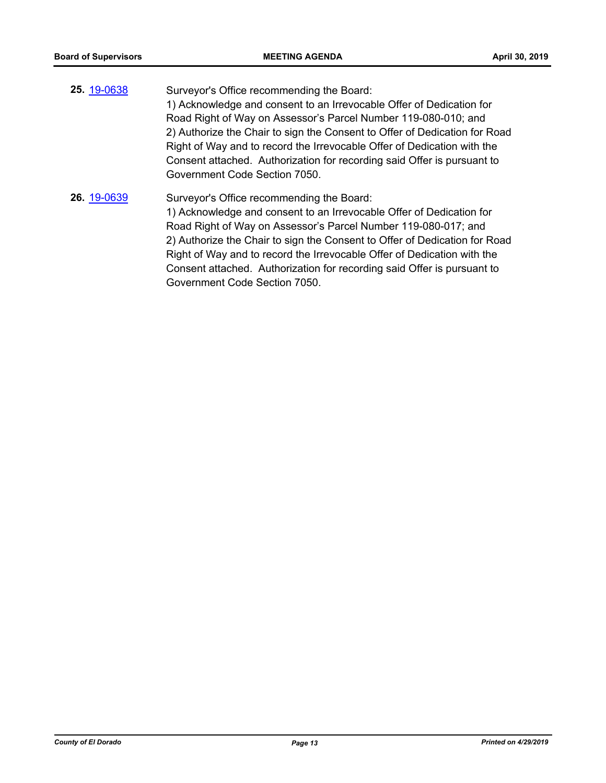- **25.** [19-0638](http://eldorado.legistar.com/gateway.aspx?m=l&id=/matter.aspx?key=25960) Surveyor's Office recommending the Board: 1) Acknowledge and consent to an Irrevocable Offer of Dedication for Road Right of Way on Assessor's Parcel Number 119-080-010; and 2) Authorize the Chair to sign the Consent to Offer of Dedication for Road Right of Way and to record the Irrevocable Offer of Dedication with the Consent attached. Authorization for recording said Offer is pursuant to Government Code Section 7050.
- **26.** [19-0639](http://eldorado.legistar.com/gateway.aspx?m=l&id=/matter.aspx?key=25961) Surveyor's Office recommending the Board: 1) Acknowledge and consent to an Irrevocable Offer of Dedication for Road Right of Way on Assessor's Parcel Number 119-080-017; and 2) Authorize the Chair to sign the Consent to Offer of Dedication for Road Right of Way and to record the Irrevocable Offer of Dedication with the Consent attached. Authorization for recording said Offer is pursuant to Government Code Section 7050.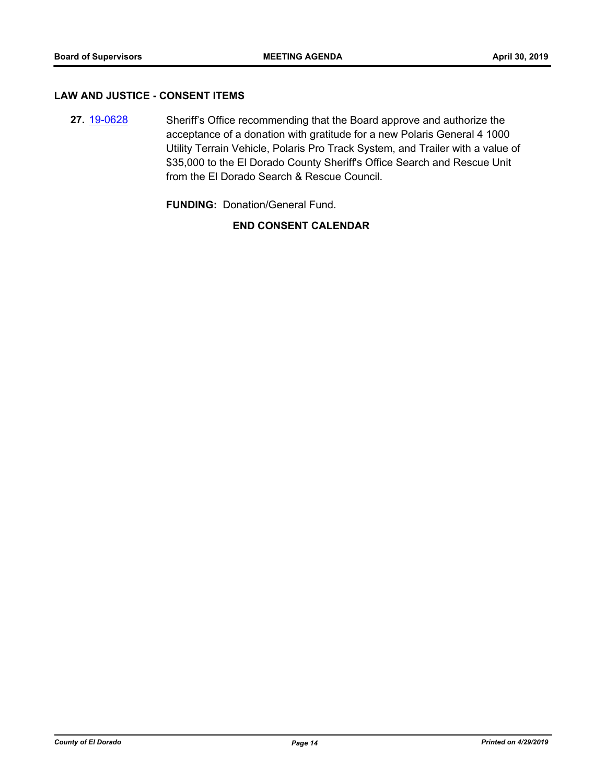#### **LAW AND JUSTICE - CONSENT ITEMS**

**27.** [19-0628](http://eldorado.legistar.com/gateway.aspx?m=l&id=/matter.aspx?key=25950) Sheriff's Office recommending that the Board approve and authorize the acceptance of a donation with gratitude for a new Polaris General 4 1000 Utility Terrain Vehicle, Polaris Pro Track System, and Trailer with a value of \$35,000 to the El Dorado County Sheriff's Office Search and Rescue Unit from the El Dorado Search & Rescue Council.

**FUNDING:** Donation/General Fund.

#### **END CONSENT CALENDAR**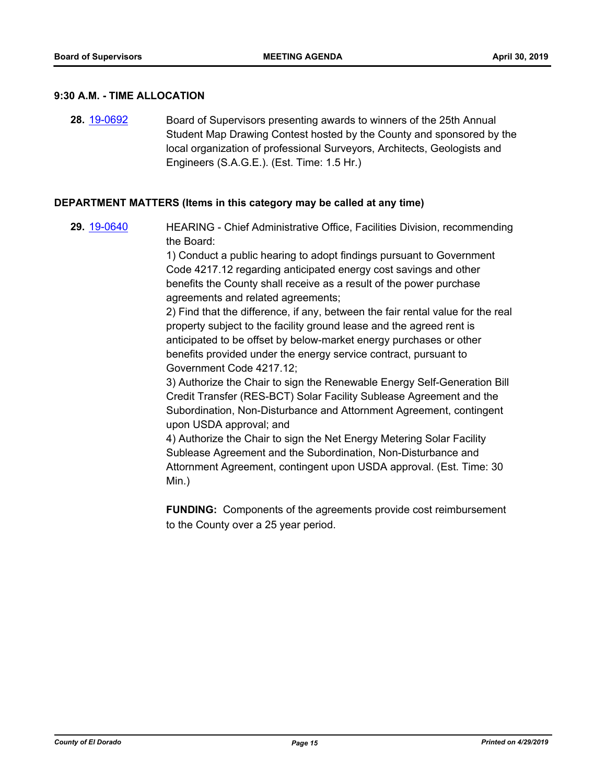#### **9:30 A.M. - TIME ALLOCATION**

**28.** [19-0692](http://eldorado.legistar.com/gateway.aspx?m=l&id=/matter.aspx?key=26014) Board of Supervisors presenting awards to winners of the 25th Annual Student Map Drawing Contest hosted by the County and sponsored by the local organization of professional Surveyors, Architects, Geologists and Engineers (S.A.G.E.). (Est. Time: 1.5 Hr.)

#### **DEPARTMENT MATTERS (Items in this category may be called at any time)**

**29.** [19-0640](http://eldorado.legistar.com/gateway.aspx?m=l&id=/matter.aspx?key=25962) HEARING - Chief Administrative Office, Facilities Division, recommending the Board:

> 1) Conduct a public hearing to adopt findings pursuant to Government Code 4217.12 regarding anticipated energy cost savings and other benefits the County shall receive as a result of the power purchase agreements and related agreements;

2) Find that the difference, if any, between the fair rental value for the real property subject to the facility ground lease and the agreed rent is anticipated to be offset by below-market energy purchases or other benefits provided under the energy service contract, pursuant to Government Code 4217.12;

3) Authorize the Chair to sign the Renewable Energy Self-Generation Bill Credit Transfer (RES-BCT) Solar Facility Sublease Agreement and the Subordination, Non-Disturbance and Attornment Agreement, contingent upon USDA approval; and

4) Authorize the Chair to sign the Net Energy Metering Solar Facility Sublease Agreement and the Subordination, Non-Disturbance and Attornment Agreement, contingent upon USDA approval. (Est. Time: 30 Min.)

**FUNDING:** Components of the agreements provide cost reimbursement to the County over a 25 year period.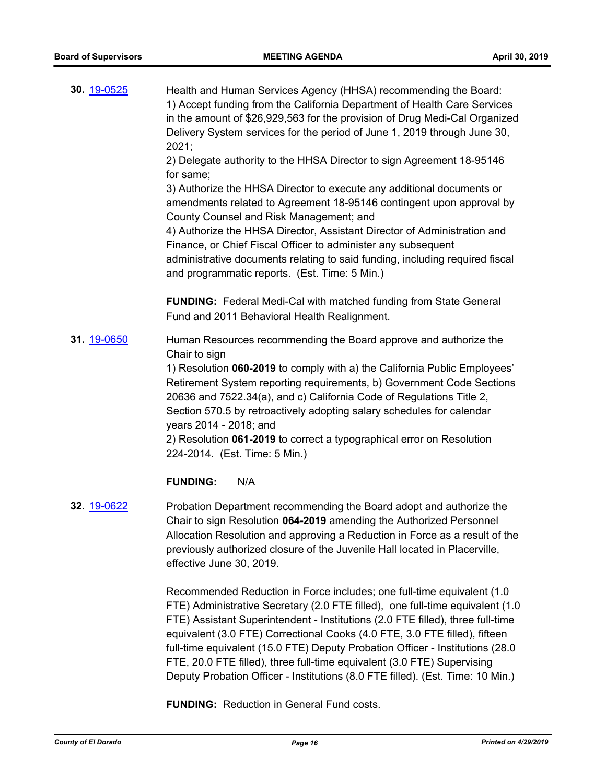| 30. 19-0525 | Health and Human Services Agency (HHSA) recommending the Board:<br>1) Accept funding from the California Department of Health Care Services<br>in the amount of \$26,929,563 for the provision of Drug Medi-Cal Organized<br>Delivery System services for the period of June 1, 2019 through June 30,<br>2021;<br>2) Delegate authority to the HHSA Director to sign Agreement 18-95146<br>for same;<br>3) Authorize the HHSA Director to execute any additional documents or<br>amendments related to Agreement 18-95146 contingent upon approval by<br>County Counsel and Risk Management; and<br>4) Authorize the HHSA Director, Assistant Director of Administration and<br>Finance, or Chief Fiscal Officer to administer any subsequent<br>administrative documents relating to said funding, including required fiscal<br>and programmatic reports. (Est. Time: 5 Min.) |
|-------------|--------------------------------------------------------------------------------------------------------------------------------------------------------------------------------------------------------------------------------------------------------------------------------------------------------------------------------------------------------------------------------------------------------------------------------------------------------------------------------------------------------------------------------------------------------------------------------------------------------------------------------------------------------------------------------------------------------------------------------------------------------------------------------------------------------------------------------------------------------------------------------|
|             | <b>FUNDING:</b> Federal Medi-Cal with matched funding from State General<br>Fund and 2011 Behavioral Health Realignment.                                                                                                                                                                                                                                                                                                                                                                                                                                                                                                                                                                                                                                                                                                                                                       |
| 31. 19-0650 | Human Resources recommending the Board approve and authorize the<br>Chair to sign<br>1) Resolution 060-2019 to comply with a) the California Public Employees'<br>Retirement System reporting requirements, b) Government Code Sections<br>20636 and 7522.34(a), and c) California Code of Regulations Title 2,<br>Section 570.5 by retroactively adopting salary schedules for calendar<br>years 2014 - 2018; and<br>2) Resolution 061-2019 to correct a typographical error on Resolution<br>224-2014. (Est. Time: 5 Min.)                                                                                                                                                                                                                                                                                                                                                   |
|             | N/A<br><b>FUNDING:</b>                                                                                                                                                                                                                                                                                                                                                                                                                                                                                                                                                                                                                                                                                                                                                                                                                                                         |
| 32. 19-0622 | Probation Department recommending the Board adopt and authorize the<br>Chair to sign Resolution 064-2019 amending the Authorized Personnel<br>Allocation Resolution and approving a Reduction in Force as a result of the<br>previously authorized closure of the Juvenile Hall located in Placerville,<br>effective June 30, 2019.                                                                                                                                                                                                                                                                                                                                                                                                                                                                                                                                            |
|             | Recommended Reduction in Force includes; one full-time equivalent (1.0)<br>FTE) Administrative Secretary (2.0 FTE filled), one full-time equivalent (1.0                                                                                                                                                                                                                                                                                                                                                                                                                                                                                                                                                                                                                                                                                                                       |

FTE) Assistant Superintendent - Institutions (2.0 FTE filled), three full-time equivalent (3.0 FTE) Correctional Cooks (4.0 FTE, 3.0 FTE filled), fifteen full-time equivalent (15.0 FTE) Deputy Probation Officer - Institutions (28.0 FTE, 20.0 FTE filled), three full-time equivalent (3.0 FTE) Supervising Deputy Probation Officer - Institutions (8.0 FTE filled). (Est. Time: 10 Min.)

**FUNDING:** Reduction in General Fund costs.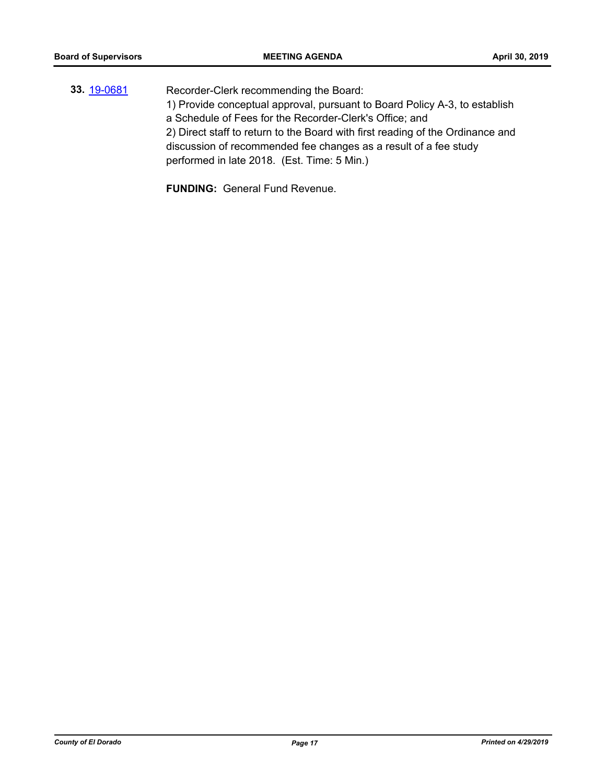**33.** [19-0681](http://eldorado.legistar.com/gateway.aspx?m=l&id=/matter.aspx?key=26003) Recorder-Clerk recommending the Board: 1) Provide conceptual approval, pursuant to Board Policy A-3, to establish a Schedule of Fees for the Recorder-Clerk's Office; and 2) Direct staff to return to the Board with first reading of the Ordinance and discussion of recommended fee changes as a result of a fee study performed in late 2018. (Est. Time: 5 Min.)

**FUNDING:** General Fund Revenue.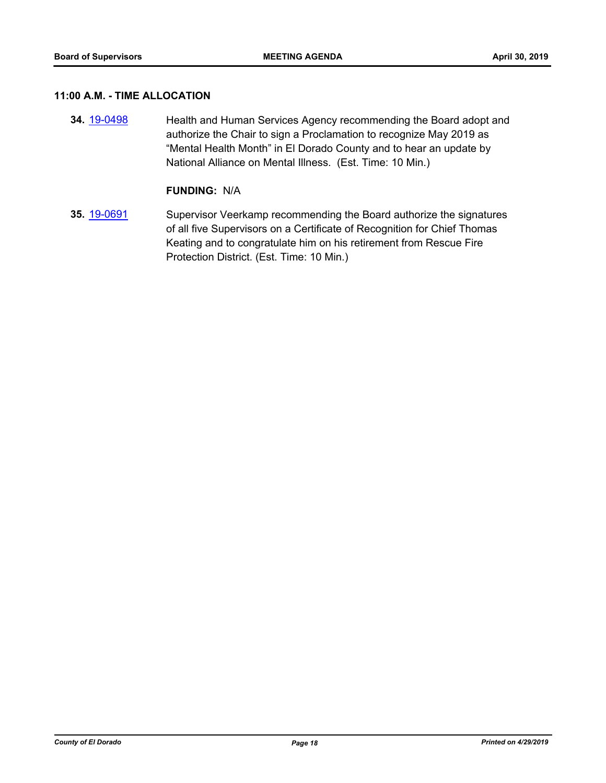### **11:00 A.M. - TIME ALLOCATION**

**34.** [19-0498](http://eldorado.legistar.com/gateway.aspx?m=l&id=/matter.aspx?key=25819) Health and Human Services Agency recommending the Board adopt and authorize the Chair to sign a Proclamation to recognize May 2019 as "Mental Health Month" in El Dorado County and to hear an update by National Alliance on Mental Illness. (Est. Time: 10 Min.)

#### **FUNDING:** N/A

**35.** [19-0691](http://eldorado.legistar.com/gateway.aspx?m=l&id=/matter.aspx?key=26013) Supervisor Veerkamp recommending the Board authorize the signatures of all five Supervisors on a Certificate of Recognition for Chief Thomas Keating and to congratulate him on his retirement from Rescue Fire Protection District. (Est. Time: 10 Min.)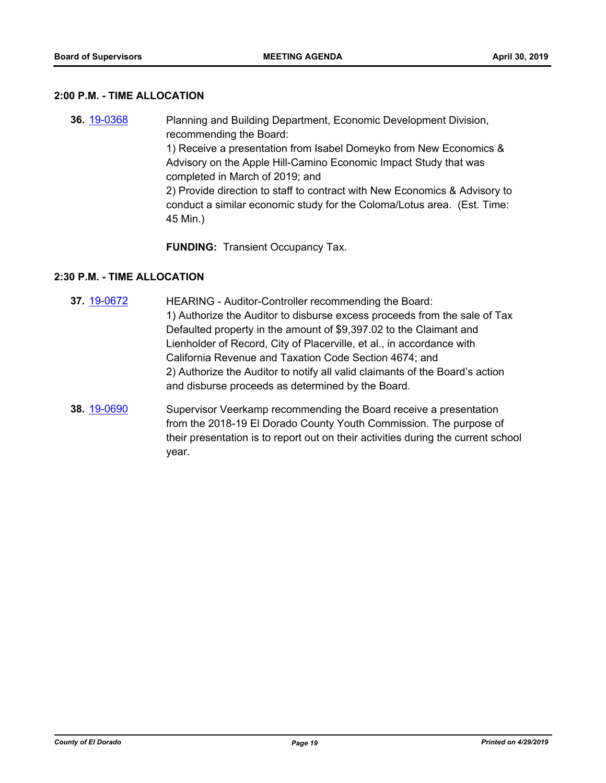#### **2:00 P.M. - TIME ALLOCATION**

**36.** [19-0368](http://eldorado.legistar.com/gateway.aspx?m=l&id=/matter.aspx?key=25689) Planning and Building Department, Economic Development Division, recommending the Board: 1) Receive a presentation from Isabel Domeyko from New Economics & Advisory on the Apple Hill-Camino Economic Impact Study that was completed in March of 2019; and 2) Provide direction to staff to contract with New Economics & Advisory to conduct a similar economic study for the Coloma/Lotus area. (Est. Time: 45 Min.)

**FUNDING:** Transient Occupancy Tax.

## **2:30 P.M. - TIME ALLOCATION**

- **37.** [19-0672](http://eldorado.legistar.com/gateway.aspx?m=l&id=/matter.aspx?key=25994) HEARING Auditor-Controller recommending the Board: 1) Authorize the Auditor to disburse excess proceeds from the sale of Tax Defaulted property in the amount of \$9,397.02 to the Claimant and Lienholder of Record, City of Placerville, et al., in accordance with California Revenue and Taxation Code Section 4674; and 2) Authorize the Auditor to notify all valid claimants of the Board's action and disburse proceeds as determined by the Board.
- **38.** [19-0690](http://eldorado.legistar.com/gateway.aspx?m=l&id=/matter.aspx?key=26012) Supervisor Veerkamp recommending the Board receive a presentation from the 2018-19 El Dorado County Youth Commission. The purpose of their presentation is to report out on their activities during the current school year.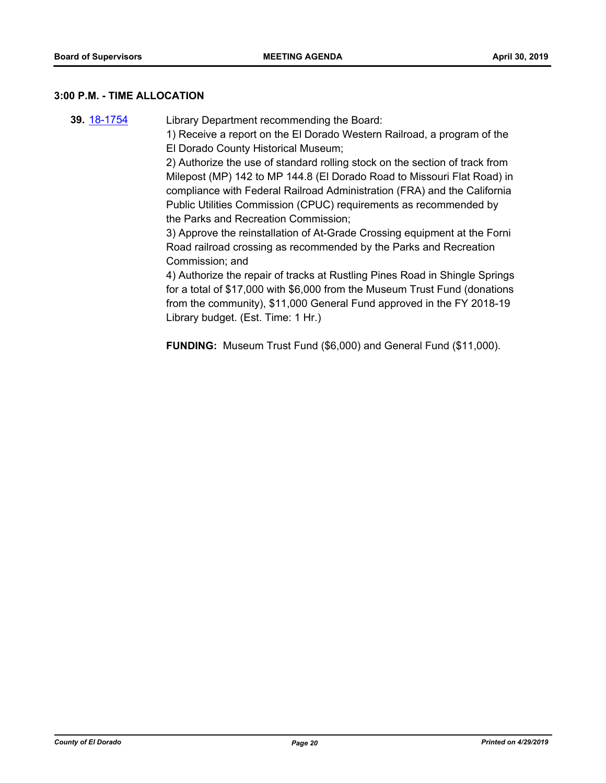#### **3:00 P.M. - TIME ALLOCATION**

**39.** [18-1754](http://eldorado.legistar.com/gateway.aspx?m=l&id=/matter.aspx?key=25105) Library Department recommending the Board:

1) Receive a report on the El Dorado Western Railroad, a program of the El Dorado County Historical Museum;

2) Authorize the use of standard rolling stock on the section of track from Milepost (MP) 142 to MP 144.8 (El Dorado Road to Missouri Flat Road) in compliance with Federal Railroad Administration (FRA) and the California Public Utilities Commission (CPUC) requirements as recommended by the Parks and Recreation Commission;

3) Approve the reinstallation of At-Grade Crossing equipment at the Forni Road railroad crossing as recommended by the Parks and Recreation Commission; and

4) Authorize the repair of tracks at Rustling Pines Road in Shingle Springs for a total of \$17,000 with \$6,000 from the Museum Trust Fund (donations from the community), \$11,000 General Fund approved in the FY 2018-19 Library budget. (Est. Time: 1 Hr.)

**FUNDING:** Museum Trust Fund (\$6,000) and General Fund (\$11,000).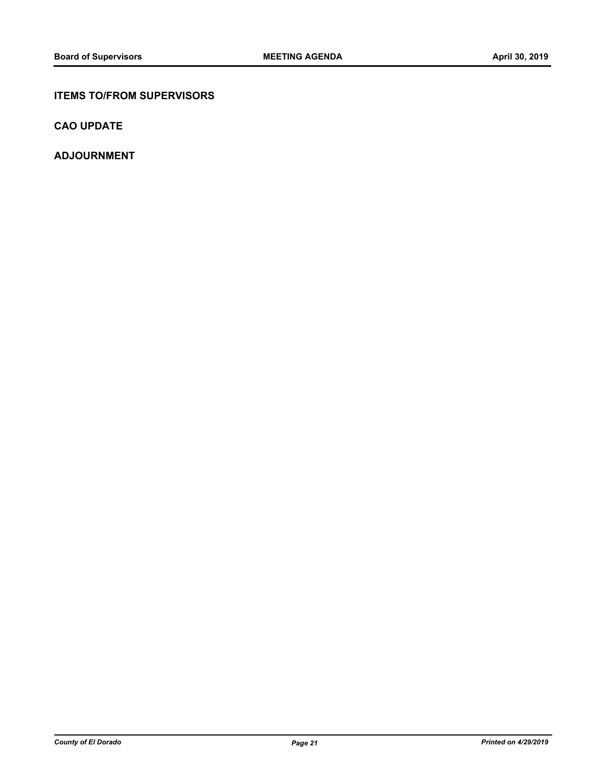## **ITEMS TO/FROM SUPERVISORS**

**CAO UPDATE**

**ADJOURNMENT**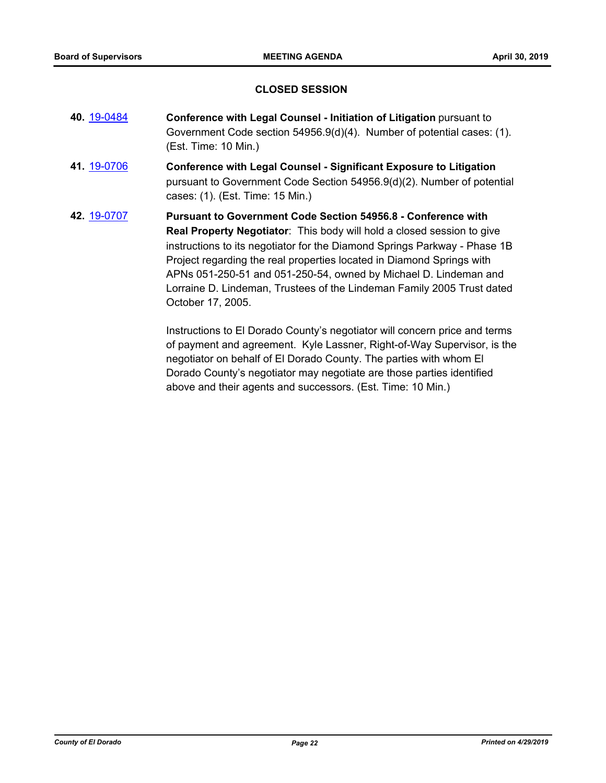#### **CLOSED SESSION**

- **40.** [19-0484](http://eldorado.legistar.com/gateway.aspx?m=l&id=/matter.aspx?key=25805) **Conference with Legal Counsel Initiation of Litigation** pursuant to Government Code section 54956.9(d)(4). Number of potential cases: (1). (Est. Time: 10 Min.)
- **41.** [19-0706](http://eldorado.legistar.com/gateway.aspx?m=l&id=/matter.aspx?key=26028) **Conference with Legal Counsel Significant Exposure to Litigation** pursuant to Government Code Section 54956.9(d)(2). Number of potential cases: (1). (Est. Time: 15 Min.)
- **42.** [19-0707](http://eldorado.legistar.com/gateway.aspx?m=l&id=/matter.aspx?key=26029) **Pursuant to Government Code Section 54956.8 Conference with Real Property Negotiator**: This body will hold a closed session to give instructions to its negotiator for the Diamond Springs Parkway - Phase 1B Project regarding the real properties located in Diamond Springs with APNs 051-250-51 and 051-250-54, owned by Michael D. Lindeman and Lorraine D. Lindeman, Trustees of the Lindeman Family 2005 Trust dated October 17, 2005.

Instructions to El Dorado County's negotiator will concern price and terms of payment and agreement. Kyle Lassner, Right-of-Way Supervisor, is the negotiator on behalf of El Dorado County. The parties with whom El Dorado County's negotiator may negotiate are those parties identified above and their agents and successors. (Est. Time: 10 Min.)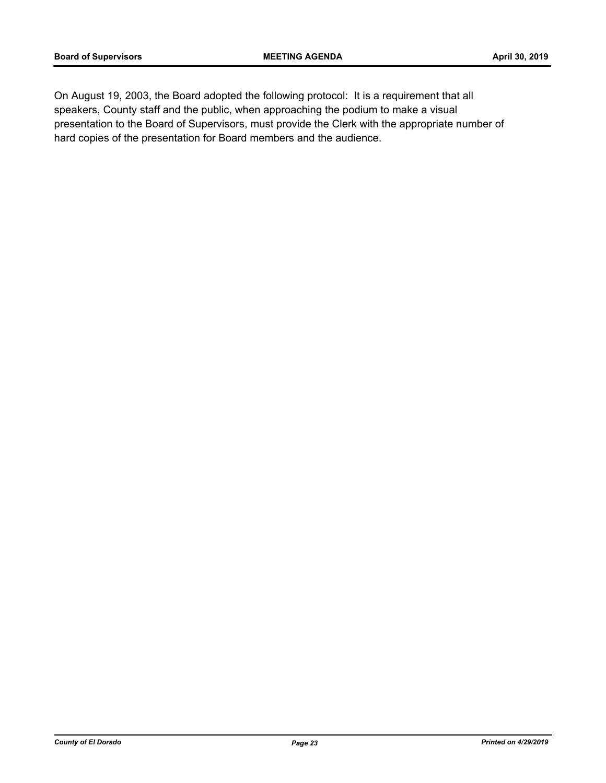On August 19, 2003, the Board adopted the following protocol: It is a requirement that all speakers, County staff and the public, when approaching the podium to make a visual presentation to the Board of Supervisors, must provide the Clerk with the appropriate number of hard copies of the presentation for Board members and the audience.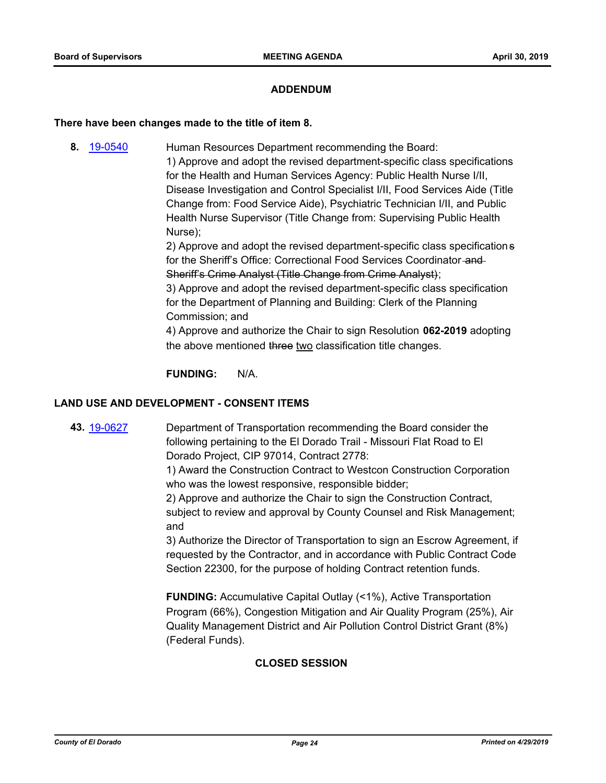#### **ADDENDUM**

#### **There have been changes made to the title of item 8.**

**8.** [19-0540](http://eldorado.legistar.com/gateway.aspx?m=l&id=/matter.aspx?key=25861) Human Resources Department recommending the Board: 1) Approve and adopt the revised department-specific class specifications for the Health and Human Services Agency: Public Health Nurse I/II, Disease Investigation and Control Specialist I/II, Food Services Aide (Title Change from: Food Service Aide), Psychiatric Technician I/II, and Public Health Nurse Supervisor (Title Change from: Supervising Public Health Nurse);

> 2) Approve and adopt the revised department-specific class specifications for the Sheriff's Office: Correctional Food Services Coordinator and Sheriff's Crime Analyst (Title Change from Crime Analyst);

3) Approve and adopt the revised department-specific class specification for the Department of Planning and Building: Clerk of the Planning Commission; and

4) Approve and authorize the Chair to sign Resolution **062-2019** adopting the above mentioned three two classification title changes.

**FUNDING:** N/A.

#### **LAND USE AND DEVELOPMENT - CONSENT ITEMS**

**43.** [19-0627](http://eldorado.legistar.com/gateway.aspx?m=l&id=/matter.aspx?key=25949) Department of Transportation recommending the Board consider the following pertaining to the El Dorado Trail - Missouri Flat Road to El Dorado Project, CIP 97014, Contract 2778:

> 1) Award the Construction Contract to Westcon Construction Corporation who was the lowest responsive, responsible bidder;

> 2) Approve and authorize the Chair to sign the Construction Contract, subject to review and approval by County Counsel and Risk Management; and

3) Authorize the Director of Transportation to sign an Escrow Agreement, if requested by the Contractor, and in accordance with Public Contract Code Section 22300, for the purpose of holding Contract retention funds.

**FUNDING:** Accumulative Capital Outlay (<1%), Active Transportation Program (66%), Congestion Mitigation and Air Quality Program (25%), Air Quality Management District and Air Pollution Control District Grant (8%) (Federal Funds).

## **CLOSED SESSION**